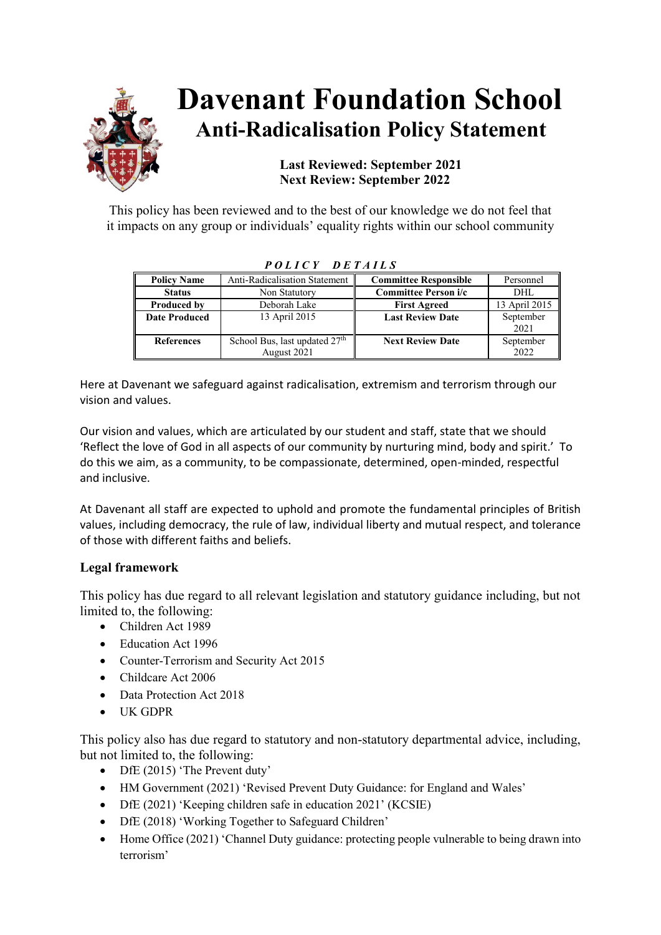

# **Davenant Foundation School Anti-Radicalisation Policy Statement**

# **Last Reviewed: September 2021 Next Review: September 2022**

This policy has been reviewed and to the best of our knowledge we do not feel that it impacts on any group or individuals' equality rights within our school community

| TULIUI DEIAILD       |                                           |                              |               |
|----------------------|-------------------------------------------|------------------------------|---------------|
| <b>Policy Name</b>   | <b>Anti-Radicalisation Statement</b>      | <b>Committee Responsible</b> | Personnel     |
| <b>Status</b>        | Non Statutory                             | Committee Person i/c         | DHL           |
| <b>Produced by</b>   | Deborah Lake                              | <b>First Agreed</b>          | 13 April 2015 |
| <b>Date Produced</b> | 13 April 2015                             | <b>Last Review Date</b>      | September     |
|                      |                                           |                              | 2021          |
| <b>References</b>    | School Bus, last updated 27 <sup>th</sup> | <b>Next Review Date</b>      | September     |
|                      | August 2021                               |                              | 2022          |

*P O L I C Y D E T A I L S*

Here at Davenant we safeguard against radicalisation, extremism and terrorism through our vision and values.

Our vision and values, which are articulated by our student and staff, state that we should 'Reflect the love of God in all aspects of our community by nurturing mind, body and spirit.' To do this we aim, as a community, to be compassionate, determined, open-minded, respectful and inclusive.

At Davenant all staff are expected to uphold and promote the fundamental principles of British values, including democracy, the rule of law, individual liberty and mutual respect, and tolerance of those with different faiths and beliefs.

# **Legal framework**

This policy has due regard to all relevant legislation and statutory guidance including, but not limited to, the following:

- Children Act 1989
- Education Act 1996
- Counter-Terrorism and Security Act 2015
- Childcare Act 2006
- Data Protection Act 2018
- UK GDPR

This policy also has due regard to statutory and non-statutory departmental advice, including, but not limited to, the following:

- DfE (2015) 'The Prevent duty'
- HM Government (2021) 'Revised Prevent Duty Guidance: for England and Wales'
- DfE (2021) 'Keeping children safe in education 2021' (KCSIE)
- DfE (2018) 'Working Together to Safeguard Children'
- Home Office (2021) 'Channel Duty guidance: protecting people vulnerable to being drawn into terrorism'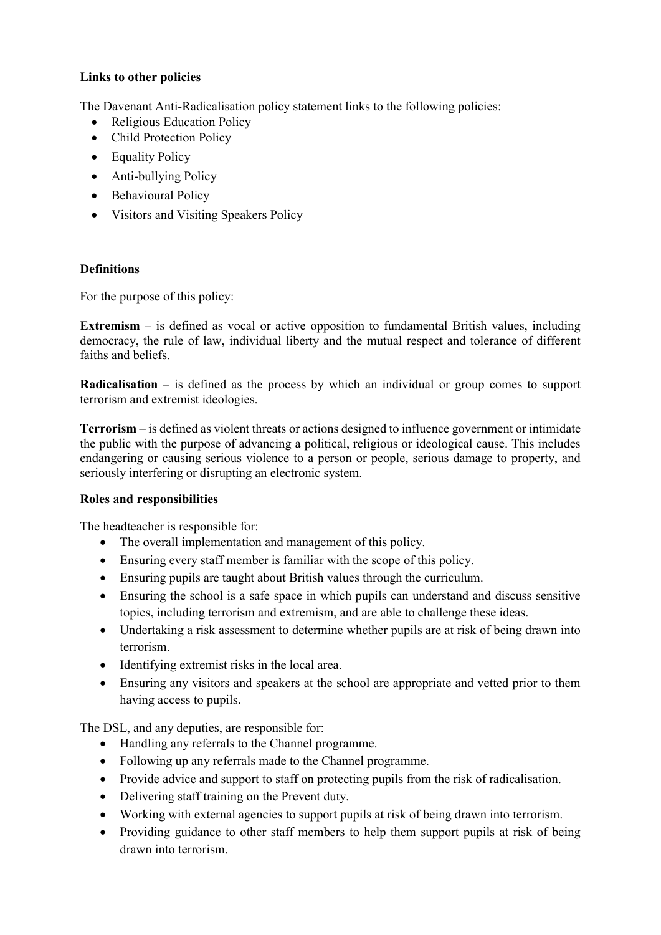## **Links to other policies**

The Davenant Anti-Radicalisation policy statement links to the following policies:

- Religious Education Policy
- Child Protection Policy
- Equality Policy
- Anti-bullying Policy
- Behavioural Policy
- Visitors and Visiting Speakers Policy

## **Definitions**

For the purpose of this policy:

**Extremism** – is defined as vocal or active opposition to fundamental British values, including democracy, the rule of law, individual liberty and the mutual respect and tolerance of different faiths and beliefs.

**Radicalisation** – is defined as the process by which an individual or group comes to support terrorism and extremist ideologies.

**Terrorism** – is defined as violent threats or actions designed to influence government or intimidate the public with the purpose of advancing a political, religious or ideological cause. This includes endangering or causing serious violence to a person or people, serious damage to property, and seriously interfering or disrupting an electronic system.

#### **Roles and responsibilities**

The headteacher is responsible for:

- The overall implementation and management of this policy.
- Ensuring every staff member is familiar with the scope of this policy.
- Ensuring pupils are taught about British values through the curriculum.
- Ensuring the school is a safe space in which pupils can understand and discuss sensitive topics, including terrorism and extremism, and are able to challenge these ideas.
- Undertaking a risk assessment to determine whether pupils are at risk of being drawn into terrorism.
- Identifying extremist risks in the local area.
- Ensuring any visitors and speakers at the school are appropriate and vetted prior to them having access to pupils.

The DSL, and any deputies, are responsible for:

- Handling any referrals to the Channel programme.
- Following up any referrals made to the Channel programme.
- Provide advice and support to staff on protecting pupils from the risk of radicalisation.
- Delivering staff training on the Prevent duty.
- Working with external agencies to support pupils at risk of being drawn into terrorism.
- Providing guidance to other staff members to help them support pupils at risk of being drawn into terrorism.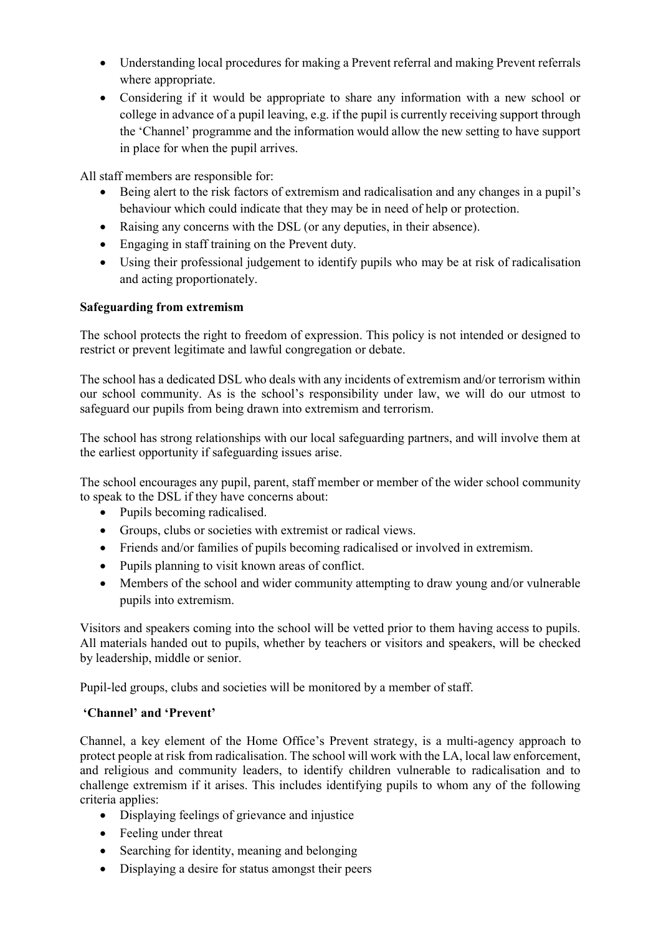- Understanding local procedures for making a Prevent referral and making Prevent referrals where appropriate.
- Considering if it would be appropriate to share any information with a new school or college in advance of a pupil leaving, e.g. if the pupil is currently receiving support through the 'Channel' programme and the information would allow the new setting to have support in place for when the pupil arrives.

All staff members are responsible for:

- Being alert to the risk factors of extremism and radicalisation and any changes in a pupil's behaviour which could indicate that they may be in need of help or protection.
- Raising any concerns with the DSL (or any deputies, in their absence).
- Engaging in staff training on the Prevent duty.
- Using their professional judgement to identify pupils who may be at risk of radicalisation and acting proportionately.

## **Safeguarding from extremism**

The school protects the right to freedom of expression. This policy is not intended or designed to restrict or prevent legitimate and lawful congregation or debate.

The school has a dedicated DSL who deals with any incidents of extremism and/or terrorism within our school community. As is the school's responsibility under law, we will do our utmost to safeguard our pupils from being drawn into extremism and terrorism.

The school has strong relationships with our local safeguarding partners, and will involve them at the earliest opportunity if safeguarding issues arise.

The school encourages any pupil, parent, staff member or member of the wider school community to speak to the DSL if they have concerns about:

- Pupils becoming radicalised.
- Groups, clubs or societies with extremist or radical views.
- Friends and/or families of pupils becoming radicalised or involved in extremism.
- Pupils planning to visit known areas of conflict.
- Members of the school and wider community attempting to draw young and/or vulnerable pupils into extremism.

Visitors and speakers coming into the school will be vetted prior to them having access to pupils. All materials handed out to pupils, whether by teachers or visitors and speakers, will be checked by leadership, middle or senior.

Pupil-led groups, clubs and societies will be monitored by a member of staff.

#### **'Channel' and 'Prevent'**

Channel, a key element of the Home Office's Prevent strategy, is a multi-agency approach to protect people at risk from radicalisation. The school will work with the LA, local law enforcement, and religious and community leaders, to identify children vulnerable to radicalisation and to challenge extremism if it arises. This includes identifying pupils to whom any of the following criteria applies:

- Displaying feelings of grievance and injustice
- Feeling under threat
- Searching for identity, meaning and belonging
- Displaying a desire for status amongst their peers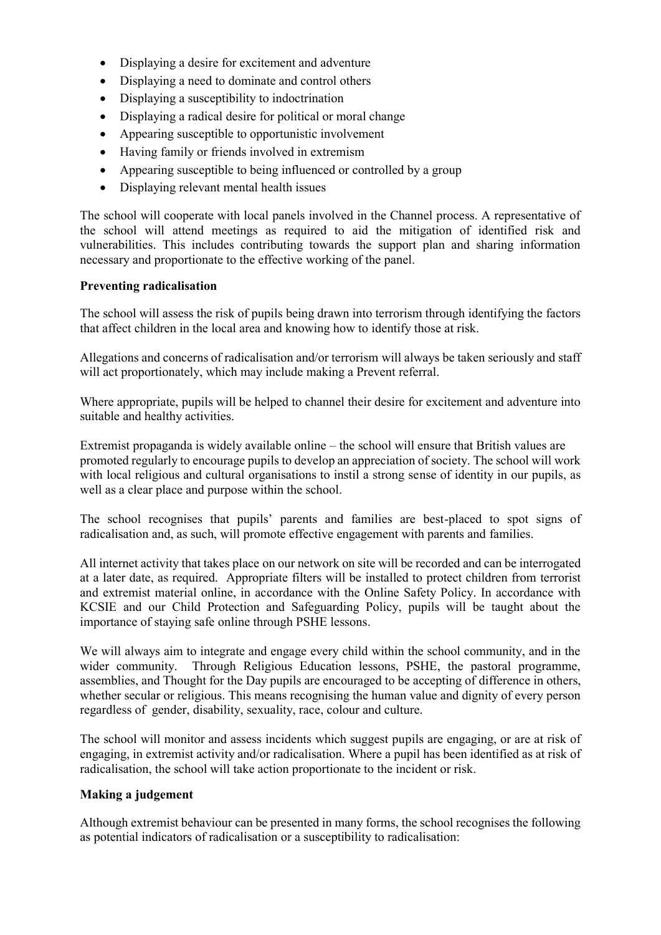- Displaying a desire for excitement and adventure
- Displaying a need to dominate and control others
- Displaying a susceptibility to indoctrination
- Displaying a radical desire for political or moral change
- Appearing susceptible to opportunistic involvement
- Having family or friends involved in extremism
- Appearing susceptible to being influenced or controlled by a group
- Displaying relevant mental health issues

The school will cooperate with local panels involved in the Channel process. A representative of the school will attend meetings as required to aid the mitigation of identified risk and vulnerabilities. This includes contributing towards the support plan and sharing information necessary and proportionate to the effective working of the panel.

#### **Preventing radicalisation**

The school will assess the risk of pupils being drawn into terrorism through identifying the factors that affect children in the local area and knowing how to identify those at risk.

Allegations and concerns of radicalisation and/or terrorism will always be taken seriously and staff will act proportionately, which may include making a Prevent referral.

Where appropriate, pupils will be helped to channel their desire for excitement and adventure into suitable and healthy activities.

Extremist propaganda is widely available online – the school will ensure that British values are promoted regularly to encourage pupils to develop an appreciation of society. The school will work with local religious and cultural organisations to instil a strong sense of identity in our pupils, as well as a clear place and purpose within the school.

The school recognises that pupils' parents and families are best-placed to spot signs of radicalisation and, as such, will promote effective engagement with parents and families.

All internet activity that takes place on our network on site will be recorded and can be interrogated at a later date, as required. Appropriate filters will be installed to protect children from terrorist and extremist material online, in accordance with the Online Safety Policy. In accordance with KCSIE and our Child Protection and Safeguarding Policy, pupils will be taught about the importance of staying safe online through PSHE lessons.

We will always aim to integrate and engage every child within the school community, and in the wider community. Through Religious Education lessons, PSHE, the pastoral programme, assemblies, and Thought for the Day pupils are encouraged to be accepting of difference in others, whether secular or religious. This means recognising the human value and dignity of every person regardless of gender, disability, sexuality, race, colour and culture.

The school will monitor and assess incidents which suggest pupils are engaging, or are at risk of engaging, in extremist activity and/or radicalisation. Where a pupil has been identified as at risk of radicalisation, the school will take action proportionate to the incident or risk.

#### **Making a judgement**

Although extremist behaviour can be presented in many forms, the school recognises the following as potential indicators of radicalisation or a susceptibility to radicalisation: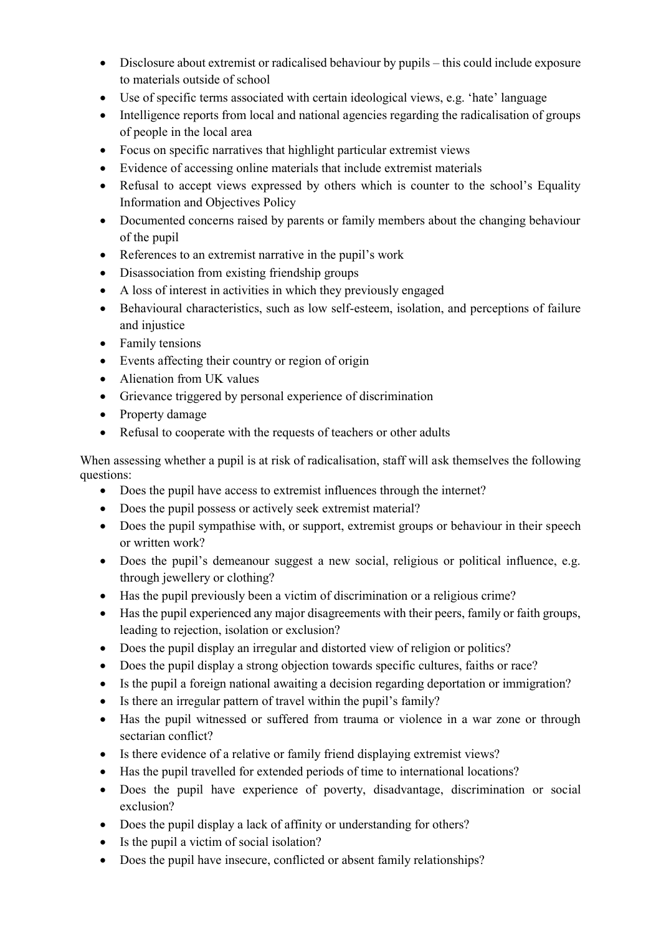- Disclosure about extremist or radicalised behaviour by pupils this could include exposure to materials outside of school
- Use of specific terms associated with certain ideological views, e.g. 'hate' language
- Intelligence reports from local and national agencies regarding the radicalisation of groups of people in the local area
- Focus on specific narratives that highlight particular extremist views
- Evidence of accessing online materials that include extremist materials
- Refusal to accept views expressed by others which is counter to the school's Equality Information and Objectives Policy
- Documented concerns raised by parents or family members about the changing behaviour of the pupil
- References to an extremist narrative in the pupil's work
- Disassociation from existing friendship groups
- A loss of interest in activities in which they previously engaged
- Behavioural characteristics, such as low self-esteem, isolation, and perceptions of failure and injustice
- Family tensions
- Events affecting their country or region of origin
- Alienation from UK values
- Grievance triggered by personal experience of discrimination
- Property damage
- Refusal to cooperate with the requests of teachers or other adults

When assessing whether a pupil is at risk of radicalisation, staff will ask themselves the following questions:

- Does the pupil have access to extremist influences through the internet?
- Does the pupil possess or actively seek extremist material?
- Does the pupil sympathise with, or support, extremist groups or behaviour in their speech or written work?
- Does the pupil's demeanour suggest a new social, religious or political influence, e.g. through jewellery or clothing?
- Has the pupil previously been a victim of discrimination or a religious crime?
- Has the pupil experienced any major disagreements with their peers, family or faith groups, leading to rejection, isolation or exclusion?
- Does the pupil display an irregular and distorted view of religion or politics?
- Does the pupil display a strong objection towards specific cultures, faiths or race?
- Is the pupil a foreign national awaiting a decision regarding deportation or immigration?
- Is there an irregular pattern of travel within the pupil's family?
- Has the pupil witnessed or suffered from trauma or violence in a war zone or through sectarian conflict?
- Is there evidence of a relative or family friend displaying extremist views?
- Has the pupil travelled for extended periods of time to international locations?
- Does the pupil have experience of poverty, disadvantage, discrimination or social exclusion?
- Does the pupil display a lack of affinity or understanding for others?
- Is the pupil a victim of social isolation?
- Does the pupil have insecure, conflicted or absent family relationships?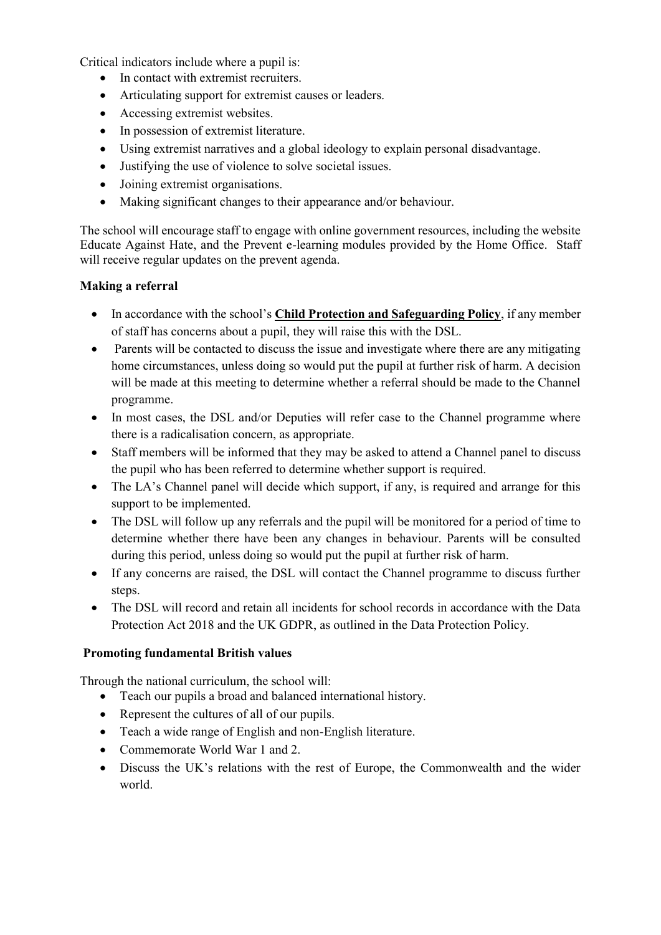Critical indicators include where a pupil is:

- In contact with extremist recruiters.
- Articulating support for extremist causes or leaders.
- Accessing extremist websites.
- In possession of extremist literature.
- Using extremist narratives and a global ideology to explain personal disadvantage.
- Justifying the use of violence to solve societal issues.
- Joining extremist organisations.
- Making significant changes to their appearance and/or behaviour.

The school will encourage staff to engage with online government resources, including the website Educate Against Hate, and the Prevent e-learning modules provided by the Home Office. Staff will receive regular updates on the prevent agenda.

## **Making a referral**

- In accordance with the school's **Child Protection and Safeguarding Policy**, if any member of staff has concerns about a pupil, they will raise this with the DSL.
- Parents will be contacted to discuss the issue and investigate where there are any mitigating home circumstances, unless doing so would put the pupil at further risk of harm. A decision will be made at this meeting to determine whether a referral should be made to the Channel programme.
- In most cases, the DSL and/or Deputies will refer case to the Channel programme where there is a radicalisation concern, as appropriate.
- Staff members will be informed that they may be asked to attend a Channel panel to discuss the pupil who has been referred to determine whether support is required.
- The LA's Channel panel will decide which support, if any, is required and arrange for this support to be implemented.
- The DSL will follow up any referrals and the pupil will be monitored for a period of time to determine whether there have been any changes in behaviour. Parents will be consulted during this period, unless doing so would put the pupil at further risk of harm.
- If any concerns are raised, the DSL will contact the Channel programme to discuss further steps.
- The DSL will record and retain all incidents for school records in accordance with the Data Protection Act 2018 and the UK GDPR, as outlined in the Data Protection Policy.

# **Promoting fundamental British values**

Through the national curriculum, the school will:

- Teach our pupils a broad and balanced international history.
- Represent the cultures of all of our pupils.
- Teach a wide range of English and non-English literature.
- Commemorate World War 1 and 2.
- Discuss the UK's relations with the rest of Europe, the Commonwealth and the wider world.